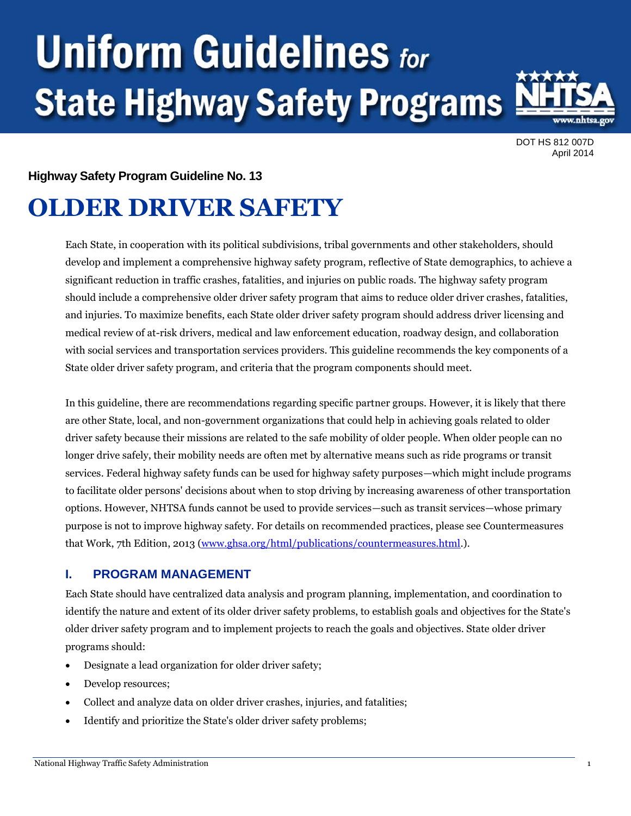# **Uniform Guidelines for State Highway Safety Programs**



DOT HS 812 007D April 2014

### **Highway Safety Program Guideline No. 13**

# **OLDER DRIVER SAFETY**

Each State, in cooperation with its political subdivisions, tribal governments and other stakeholders, should develop and implement a comprehensive highway safety program, reflective of State demographics, to achieve a significant reduction in traffic crashes, fatalities, and injuries on public roads. The highway safety program should include a comprehensive older driver safety program that aims to reduce older driver crashes, fatalities, and injuries. To maximize benefits, each State older driver safety program should address driver licensing and medical review of at-risk drivers, medical and law enforcement education, roadway design, and collaboration with social services and transportation services providers. This guideline recommends the key components of a State older driver safety program, and criteria that the program components should meet.

In this guideline, there are recommendations regarding specific partner groups. However, it is likely that there are other State, local, and non-government organizations that could help in achieving goals related to older driver safety because their missions are related to the safe mobility of older people. When older people can no longer drive safely, their mobility needs are often met by alternative means such as ride programs or transit services. Federal highway safety funds can be used for highway safety purposes—which might include programs to facilitate older persons' decisions about when to stop driving by increasing awareness of other transportation options. However, NHTSA funds cannot be used to provide services—such as transit services—whose primary purpose is not to improve highway safety. For details on recommended practices, please see Countermeasures that Work, 7th Edition, 2013 [\(www.ghsa.org/html/publications/countermeasures.html.](http://www.ghsa.org/html/publications/countermeasures.html)).

#### **I. PROGRAM MANAGEMENT**

Each State should have centralized data analysis and program planning, implementation, and coordination to identify the nature and extent of its older driver safety problems, to establish goals and objectives for the State's older driver safety program and to implement projects to reach the goals and objectives. State older driver programs should:

- Designate a lead organization for older driver safety;
- Develop resources:
- Collect and analyze data on older driver crashes, injuries, and fatalities;
- Identify and prioritize the State's older driver safety problems;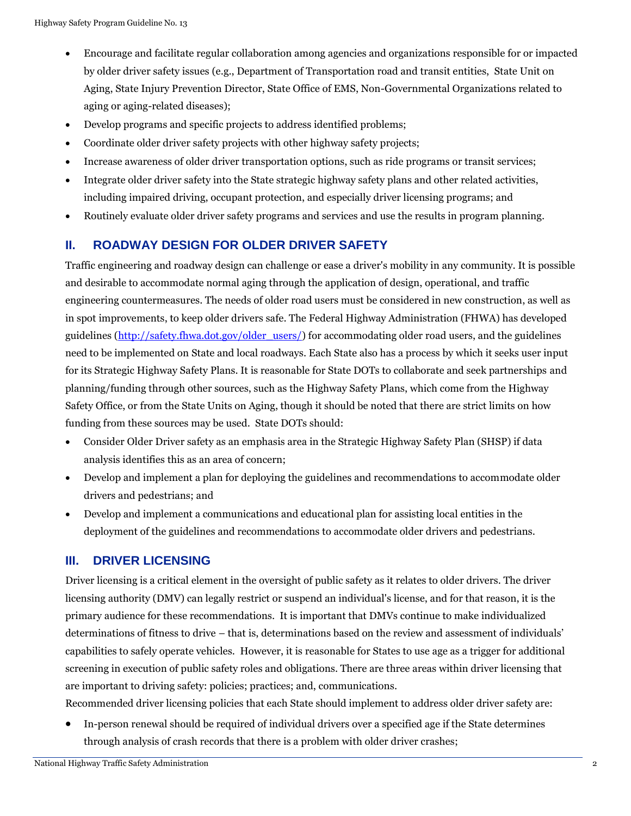- Encourage and facilitate regular collaboration among agencies and organizations responsible for or impacted by older driver safety issues (e.g., Department of Transportation road and transit entities, State Unit on Aging, State Injury Prevention Director, State Office of EMS, Non-Governmental Organizations related to aging or aging-related diseases);
- Develop programs and specific projects to address identified problems;
- Coordinate older driver safety projects with other highway safety projects;
- Increase awareness of older driver transportation options, such as ride programs or transit services;
- Integrate older driver safety into the State strategic highway safety plans and other related activities, including impaired driving, occupant protection, and especially driver licensing programs; and
- Routinely evaluate older driver safety programs and services and use the results in program planning.

#### **II. ROADWAY DESIGN FOR OLDER DRIVER SAFETY**

Traffic engineering and roadway design can challenge or ease a driver's mobility in any community. It is possible and desirable to accommodate normal aging through the application of design, operational, and traffic engineering countermeasures. The needs of older road users must be considered in new construction, as well as in spot improvements, to keep older drivers safe. The Federal Highway Administration (FHWA) has developed guidelines [\(http://safety.fhwa.dot.gov/older\\_users/\)](http://safety.fhwa.dot.gov/older_users/) for accommodating older road users, and the guidelines need to be implemented on State and local roadways. Each State also has a process by which it seeks user input for its Strategic Highway Safety Plans. It is reasonable for State DOTs to collaborate and seek partnerships and planning/funding through other sources, such as the Highway Safety Plans, which come from the Highway Safety Office, or from the State Units on Aging, though it should be noted that there are strict limits on how funding from these sources may be used. State DOTs should:

- Consider Older Driver safety as an emphasis area in the Strategic Highway Safety Plan (SHSP) if data analysis identifies this as an area of concern;
- Develop and implement a plan for deploying the guidelines and recommendations to accommodate older drivers and pedestrians; and
- Develop and implement a communications and educational plan for assisting local entities in the deployment of the guidelines and recommendations to accommodate older drivers and pedestrians.

#### **III. DRIVER LICENSING**

Driver licensing is a critical element in the oversight of public safety as it relates to older drivers. The driver licensing authority (DMV) can legally restrict or suspend an individual's license, and for that reason, it is the primary audience for these recommendations. It is important that DMVs continue to make individualized determinations of fitness to drive – that is, determinations based on the review and assessment of individuals' capabilities to safely operate vehicles. However, it is reasonable for States to use age as a trigger for additional screening in execution of public safety roles and obligations. There are three areas within driver licensing that are important to driving safety: policies; practices; and, communications.

Recommended driver licensing policies that each State should implement to address older driver safety are:

 In-person renewal should be required of individual drivers over a specified age if the State determines through analysis of crash records that there is a problem with older driver crashes;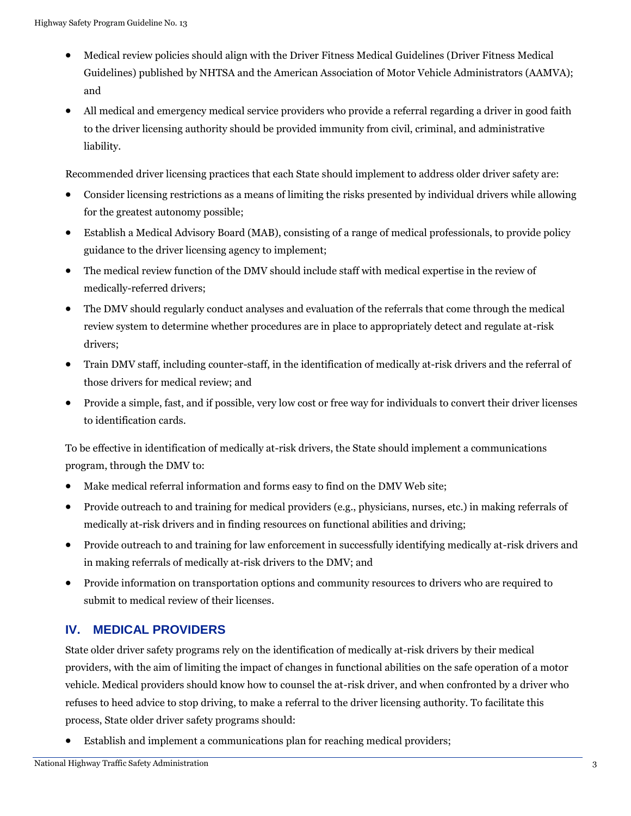- Medical review policies should align with the Driver Fitness Medical Guidelines (Driver Fitness Medical Guidelines) published by NHTSA and the American Association of Motor Vehicle Administrators (AAMVA); and
- All medical and emergency medical service providers who provide a referral regarding a driver in good faith to the driver licensing authority should be provided immunity from civil, criminal, and administrative liability.

Recommended driver licensing practices that each State should implement to address older driver safety are:

- Consider licensing restrictions as a means of limiting the risks presented by individual drivers while allowing for the greatest autonomy possible;
- Establish a Medical Advisory Board (MAB), consisting of a range of medical professionals, to provide policy guidance to the driver licensing agency to implement;
- The medical review function of the DMV should include staff with medical expertise in the review of medically-referred drivers;
- The DMV should regularly conduct analyses and evaluation of the referrals that come through the medical review system to determine whether procedures are in place to appropriately detect and regulate at-risk drivers;
- Train DMV staff, including counter-staff, in the identification of medically at-risk drivers and the referral of those drivers for medical review; and
- Provide a simple, fast, and if possible, very low cost or free way for individuals to convert their driver licenses to identification cards.

To be effective in identification of medically at-risk drivers, the State should implement a communications program, through the DMV to:

- Make medical referral information and forms easy to find on the DMV Web site;
- Provide outreach to and training for medical providers (e.g., physicians, nurses, etc.) in making referrals of medically at-risk drivers and in finding resources on functional abilities and driving;
- Provide outreach to and training for law enforcement in successfully identifying medically at-risk drivers and in making referrals of medically at-risk drivers to the DMV; and
- Provide information on transportation options and community resources to drivers who are required to submit to medical review of their licenses.

# **IV. MEDICAL PROVIDERS**

State older driver safety programs rely on the identification of medically at-risk drivers by their medical providers, with the aim of limiting the impact of changes in functional abilities on the safe operation of a motor vehicle. Medical providers should know how to counsel the at-risk driver, and when confronted by a driver who refuses to heed advice to stop driving, to make a referral to the driver licensing authority. To facilitate this process, State older driver safety programs should:

Establish and implement a communications plan for reaching medical providers;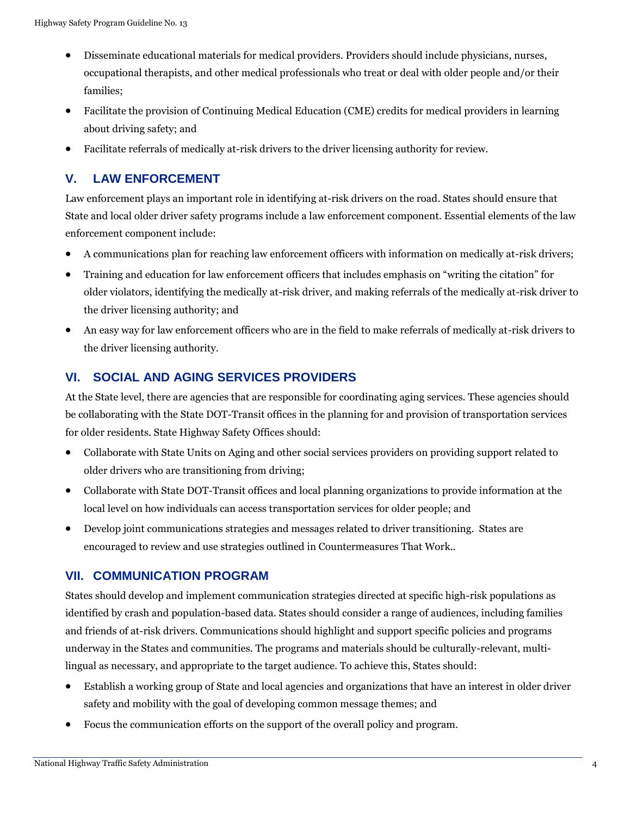- Disseminate educational materials for medical providers. Providers should include physicians, nurses, occupational therapists, and other medical professionals who treat or deal with older people and/or their families;
- Facilitate the provision of Continuing Medical Education (CME) credits for medical providers in learning about driving safety; and
- Facilitate referrals of medically at-risk drivers to the driver licensing authority for review.

# **V. LAW ENFORCEMENT**

Law enforcement plays an important role in identifying at-risk drivers on the road. States should ensure that State and local older driver safety programs include a law enforcement component. Essential elements of the law enforcement component include:

- A communications plan for reaching law enforcement officers with information on medically at-risk drivers;
- Training and education for law enforcement officers that includes emphasis on "writing the citation" for older violators, identifying the medically at-risk driver, and making referrals of the medically at-risk driver to the driver licensing authority; and
- An easy way for law enforcement officers who are in the field to make referrals of medically at-risk drivers to the driver licensing authority.

# **VI. SOCIAL AND AGING SERVICES PROVIDERS**

At the State level, there are agencies that are responsible for coordinating aging services. These agencies should be collaborating with the State DOT-Transit offices in the planning for and provision of transportation services for older residents. State Highway Safety Offices should:

- Collaborate with State Units on Aging and other social services providers on providing support related to older drivers who are transitioning from driving;
- Collaborate with State DOT-Transit offices and local planning organizations to provide information at the local level on how individuals can access transportation services for older people; and
- Develop joint communications strategies and messages related to driver transitioning. States are encouraged to review and use strategies outlined in Countermeasures That Work..

# **VII. COMMUNICATION PROGRAM**

States should develop and implement communication strategies directed at specific high-risk populations as identified by crash and population-based data. States should consider a range of audiences, including families and friends of at-risk drivers. Communications should highlight and support specific policies and programs underway in the States and communities. The programs and materials should be culturally-relevant, multilingual as necessary, and appropriate to the target audience. To achieve this, States should:

- Establish a working group of State and local agencies and organizations that have an interest in older driver safety and mobility with the goal of developing common message themes; and
- Focus the communication efforts on the support of the overall policy and program.